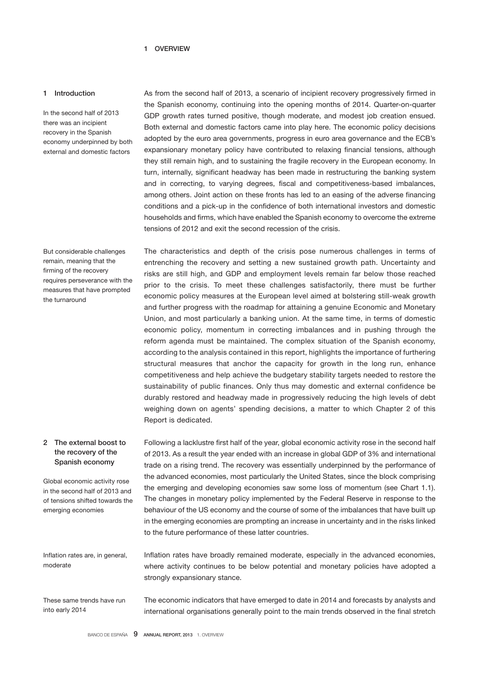#### 1 OVERVIEW

### 1 Introduction

In the second half of 2013 there was an incipient recovery in the Spanish economy underpinned by both external and domestic factors

But considerable challenges remain, meaning that the firming of the recovery requires perseverance with the measures that have prompted the turnaround

As from the second half of 2013, a scenario of incipient recovery progressively firmed in the Spanish economy, continuing into the opening months of 2014. Quarter-on-quarter GDP growth rates turned positive, though moderate, and modest job creation ensued. Both external and domestic factors came into play here. The economic policy decisions adopted by the euro area governments, progress in euro area governance and the ECB's expansionary monetary policy have contributed to relaxing financial tensions, although they still remain high, and to sustaining the fragile recovery in the European economy. In turn, internally, significant headway has been made in restructuring the banking system and in correcting, to varying degrees, fiscal and competitiveness-based imbalances, among others. Joint action on these fronts has led to an easing of the adverse financing conditions and a pick-up in the confidence of both international investors and domestic households and firms, which have enabled the Spanish economy to overcome the extreme tensions of 2012 and exit the second recession of the crisis.

The characteristics and depth of the crisis pose numerous challenges in terms of entrenching the recovery and setting a new sustained growth path. Uncertainty and risks are still high, and GDP and employment levels remain far below those reached prior to the crisis. To meet these challenges satisfactorily, there must be further economic policy measures at the European level aimed at bolstering still-weak growth and further progress with the roadmap for attaining a genuine Economic and Monetary Union, and most particularly a banking union. At the same time, in terms of domestic economic policy, momentum in correcting imbalances and in pushing through the reform agenda must be maintained. The complex situation of the Spanish economy, according to the analysis contained in this report, highlights the importance of furthering structural measures that anchor the capacity for growth in the long run, enhance competitiveness and help achieve the budgetary stability targets needed to restore the sustainability of public finances. Only thus may domestic and external confidence be durably restored and headway made in progressively reducing the high levels of debt weighing down on agents' spending decisions, a matter to which Chapter 2 of this Report is dedicated.

## 2 The external boost to the recovery of the Spanish economy

Global economic activity rose in the second half of 2013 and of tensions shifted towards the emerging economies

Following a lacklustre first half of the year, global economic activity rose in the second half of 2013. As a result the year ended with an increase in global GDP of 3% and international trade on a rising trend. The recovery was essentially underpinned by the performance of the advanced economies, most particularly the United States, since the block comprising the emerging and developing economies saw some loss of momentum (see Chart 1.1). The changes in monetary policy implemented by the Federal Reserve in response to the behaviour of the US economy and the course of some of the imbalances that have built up in the emerging economies are prompting an increase in uncertainty and in the risks linked to the future performance of these latter countries.

Inflation rates are, in general, moderate

These same trends have run into early 2014

The economic indicators that have emerged to date in 2014 and forecasts by analysts and

international organisations generally point to the main trends observed in the final stretch

Inflation rates have broadly remained moderate, especially in the advanced economies, where activity continues to be below potential and monetary policies have adopted a

strongly expansionary stance.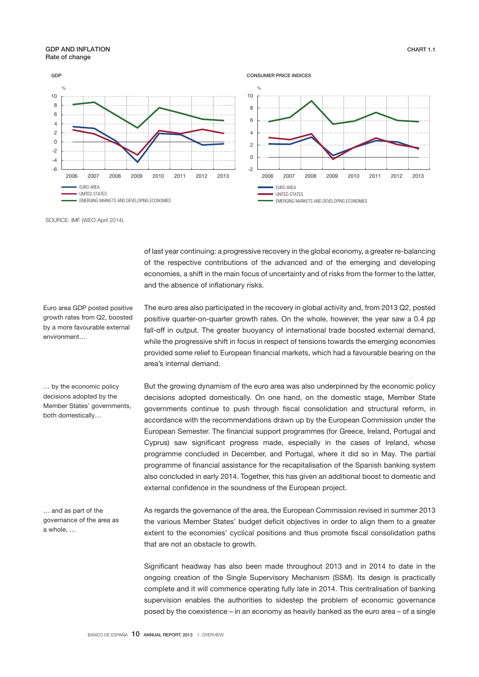### GDP AND INFLATION Rate of change



SOURCE: IMF (WEO April 2014).

of last year continuing: a progressive recovery in the global economy, a greater re-balancing of the respective contributions of the advanced and of the emerging and developing economies, a shift in the main focus of uncertainty and of risks from the former to the latter, and the absence of inflationary risks.

The euro area also participated in the recovery in global activity and, from 2013 Q2, posted positive quarter-on-quarter growth rates. On the whole, however, the year saw a 0.4 pp fall-off in output. The greater buoyancy of international trade boosted external demand, while the progressive shift in focus in respect of tensions towards the emerging economies

Euro area GDP posted positive growth rates from Q2, boosted by a more favourable external environment…

… by the economic policy decisions adopted by the Member States' governments, both domestically…

… and as part of the governance of the area as a whole, …

provided some relief to European financial markets, which had a favourable bearing on the area's internal demand. But the growing dynamism of the euro area was also underpinned by the economic policy decisions adopted domestically. On one hand, on the domestic stage, Member State governments continue to push through fiscal consolidation and structural reform, in accordance with the recommendations drawn up by the European Commission under the European Semester. The financial support programmes (for Greece, Ireland, Portugal and Cyprus) saw significant progress made, especially in the cases of Ireland, whose

programme concluded in December, and Portugal, where it did so in May. The partial programme of financial assistance for the recapitalisation of the Spanish banking system also concluded in early 2014. Together, this has given an additional boost to domestic and external confidence in the soundness of the European project.

As regards the governance of the area, the European Commission revised in summer 2013 the various Member States' budget deficit objectives in order to align them to a greater extent to the economies' cyclical positions and thus promote fiscal consolidation paths that are not an obstacle to growth.

Significant headway has also been made throughout 2013 and in 2014 to date in the ongoing creation of the Single Supervisory Mechanism (SSM). Its design is practically complete and it will commence operating fully late in 2014. This centralisation of banking supervision enables the authorities to sidestep the problem of economic governance posed by the coexistence – in an economy as heavily banked as the euro area – of a single

CHART 1.1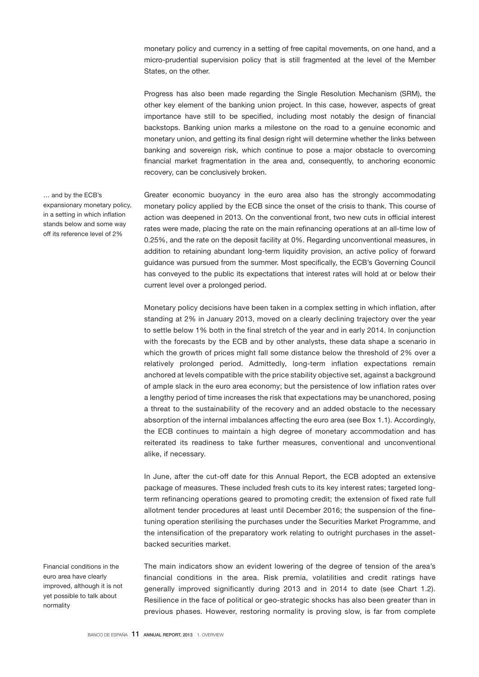monetary policy and currency in a setting of free capital movements, on one hand, and a micro-prudential supervision policy that is still fragmented at the level of the Member States, on the other.

Progress has also been made regarding the Single Resolution Mechanism (SRM), the other key element of the banking union project. In this case, however, aspects of great importance have still to be specified, including most notably the design of financial backstops. Banking union marks a milestone on the road to a genuine economic and monetary union, and getting its final design right will determine whether the links between banking and sovereign risk, which continue to pose a major obstacle to overcoming financial market fragmentation in the area and, consequently, to anchoring economic recovery, can be conclusively broken.

Greater economic buoyancy in the euro area also has the strongly accommodating monetary policy applied by the ECB since the onset of the crisis to thank. This course of action was deepened in 2013. On the conventional front, two new cuts in official interest rates were made, placing the rate on the main refinancing operations at an all-time low of 0.25%, and the rate on the deposit facility at 0%. Regarding unconventional measures, in addition to retaining abundant long-term liquidity provision, an active policy of forward guidance was pursued from the summer. Most specifically, the ECB's Governing Council has conveyed to the public its expectations that interest rates will hold at or below their current level over a prolonged period.

Monetary policy decisions have been taken in a complex setting in which inflation, after standing at 2% in January 2013, moved on a clearly declining trajectory over the year to settle below 1% both in the final stretch of the year and in early 2014. In conjunction with the forecasts by the ECB and by other analysts, these data shape a scenario in which the growth of prices might fall some distance below the threshold of 2% over a relatively prolonged period. Admittedly, long-term inflation expectations remain anchored at levels compatible with the price stability objective set, against a background of ample slack in the euro area economy; but the persistence of low inflation rates over a lengthy period of time increases the risk that expectations may be unanchored, posing a threat to the sustainability of the recovery and an added obstacle to the necessary absorption of the internal imbalances affecting the euro area (see Box 1.1). Accordingly, the ECB continues to maintain a high degree of monetary accommodation and has reiterated its readiness to take further measures, conventional and unconventional alike, if necessary.

In June, after the cut-off date for this Annual Report, the ECB adopted an extensive package of measures. These included fresh cuts to its key interest rates; targeted longterm refinancing operations geared to promoting credit; the extension of fixed rate full allotment tender procedures at least until December 2016; the suspension of the finetuning operation sterilising the purchases under the Securities Market Programme, and the intensification of the preparatory work relating to outright purchases in the assetbacked securities market.

The main indicators show an evident lowering of the degree of tension of the area's financial conditions in the area. Risk premia, volatilities and credit ratings have generally improved significantly during 2013 and in 2014 to date (see Chart 1.2). Resilience in the face of political or geo-strategic shocks has also been greater than in previous phases. However, restoring normality is proving slow, is far from complete

… and by the ECB's expansionary monetary policy, in a setting in which inflation stands below and some way off its reference level of 2%

Financial conditions in the euro area have clearly improved, although it is not yet possible to talk about normality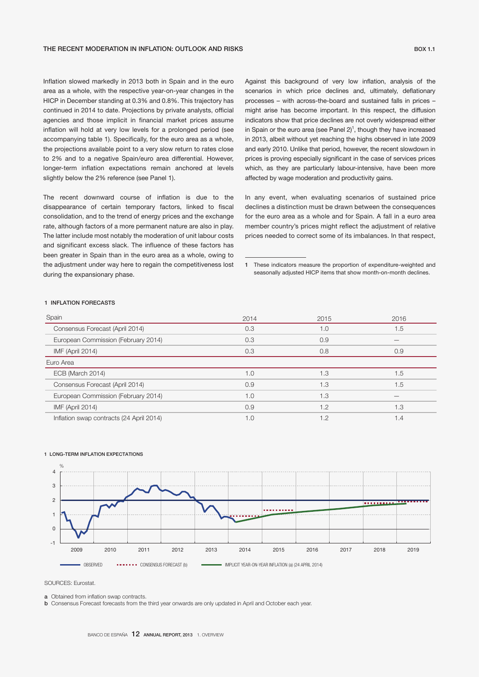Inflation slowed markedly in 2013 both in Spain and in the euro area as a whole, with the respective year-on-year changes in the HICP in December standing at 0.3% and 0.8%. This trajectory has continued in 2014 to date. Projections by private analysts, official agencies and those implicit in financial market prices assume inflation will hold at very low levels for a prolonged period (see accompanying table 1). Specifically, for the euro area as a whole, the projections available point to a very slow return to rates close to 2% and to a negative Spain/euro area differential. However, longer-term inflation expectations remain anchored at levels slightly below the 2% reference (see Panel 1).

The recent downward course of inflation is due to the disappearance of certain temporary factors, linked to fiscal consolidation, and to the trend of energy prices and the exchange rate, although factors of a more permanent nature are also in play. The latter include most notably the moderation of unit labour costs and significant excess slack. The influence of these factors has been greater in Spain than in the euro area as a whole, owing to the adjustment under way here to regain the competitiveness lost during the expansionary phase.

Against this background of very low inflation, analysis of the scenarios in which price declines and, ultimately, deflationary processes – with across-the-board and sustained falls in prices – might arise has become important. In this respect, the diffusion indicators show that price declines are not overly widespread either in Spain or the euro area (see Panel  $2$ )<sup>1</sup>, though they have increased in 2013, albeit without yet reaching the highs observed in late 2009 and early 2010. Unlike that period, however, the recent slowdown in prices is proving especially significant in the case of services prices which, as they are particularly labour-intensive, have been more affected by wage moderation and productivity gains.

In any event, when evaluating scenarios of sustained price declines a distinction must be drawn between the consequences for the euro area as a whole and for Spain. A fall in a euro area member country's prices might reflect the adjustment of relative prices needed to correct some of its imbalances. In that respect,

1 These indicators measure the proportion of expenditure-weighted and seasonally adjusted HICP items that show month-on-month declines.

#### 1 INFLATION FORECASTS

| Spain                                    | 2014 | 2015 | 2016 |
|------------------------------------------|------|------|------|
| Consensus Forecast (April 2014)          | 0.3  | 1.0  | 1.5  |
| European Commission (February 2014)      | 0.3  | 0.9  |      |
| IMF (April 2014)                         | 0.3  | 0.8  | 0.9  |
| Euro Area                                |      |      |      |
| ECB (March 2014)                         | 1.0  | 1.3  | 1.5  |
| Consensus Forecast (April 2014)          | 0.9  | 1.3  | 1.5  |
| European Commission (February 2014)      | 1.0  | 1.3  |      |
| IMF (April 2014)                         | 0.9  | 1.2  | 1.3  |
| Inflation swap contracts (24 April 2014) | 1.0  | 1.2  | 1.4  |



#### 1 LONG-TERM INFLATION EXPECTATIONS

SOURCES: Eurostat.

a Obtained from inflation swap contracts.

**b** Consensus Forecast forecasts from the third year onwards are only updated in April and October each year.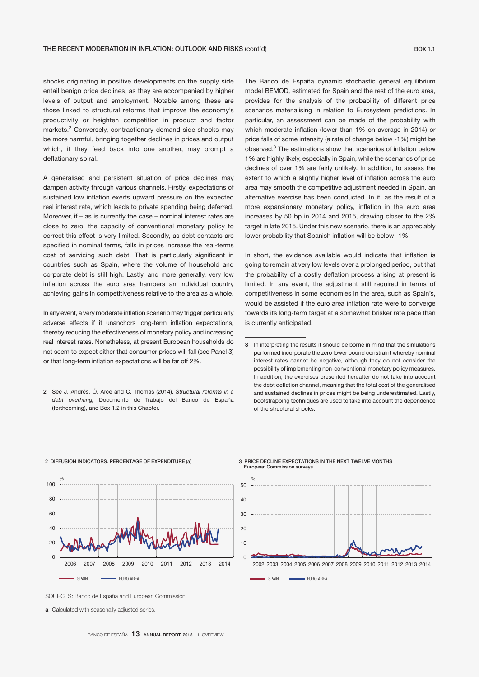shocks originating in positive developments on the supply side entail benign price declines, as they are accompanied by higher levels of output and employment. Notable among these are those linked to structural reforms that improve the economy's productivity or heighten competition in product and factor markets.<sup>2</sup> Conversely, contractionary demand-side shocks may be more harmful, bringing together declines in prices and output which, if they feed back into one another, may prompt a deflationary spiral.

A generalised and persistent situation of price declines may dampen activity through various channels. Firstly, expectations of sustained low inflation exerts upward pressure on the expected real interest rate, which leads to private spending being deferred. Moreover, if – as is currently the case – nominal interest rates are close to zero, the capacity of conventional monetary policy to correct this effect is very limited. Secondly, as debt contacts are specified in nominal terms, falls in prices increase the real-terms cost of servicing such debt. That is particularly significant in countries such as Spain, where the volume of household and corporate debt is still high. Lastly, and more generally, very low inflation across the euro area hampers an individual country achieving gains in competitiveness relative to the area as a whole.

In any event, a very moderate inflation scenario may trigger particularly adverse effects if it unanchors long-term inflation expectations, thereby reducing the effectiveness of monetary policy and increasing real interest rates. Nonetheless, at present European households do not seem to expect either that consumer prices will fall (see Panel 3) or that long-term inflation expectations will be far off 2%.

The Banco de España dynamic stochastic general equilibrium model BEMOD, estimated for Spain and the rest of the euro area, provides for the analysis of the probability of different price scenarios materialising in relation to Eurosystem predictions. In particular, an assessment can be made of the probability with which moderate inflation (lower than 1% on average in 2014) or price falls of some intensity (a rate of change below -1%) might be observed.3 The estimations show that scenarios of inflation below 1% are highly likely, especially in Spain, while the scenarios of price declines of over 1% are fairly unlikely. In addition, to assess the extent to which a slightly higher level of inflation across the euro area may smooth the competitive adjustment needed in Spain, an alternative exercise has been conducted. In it, as the result of a more expansionary monetary policy, inflation in the euro area increases by 50 bp in 2014 and 2015, drawing closer to the 2% target in late 2015. Under this new scenario, there is an appreciably lower probability that Spanish inflation will be below -1%.

In short, the evidence available would indicate that inflation is going to remain at very low levels over a prolonged period, but that the probability of a costly deflation process arising at present is limited. In any event, the adjustment still required in terms of competitiveness in some economies in the area, such as Spain's, would be assisted if the euro area inflation rate were to converge towards its long-term target at a somewhat brisker rate pace than is currently anticipated.



#### 3 PRICE DECLINE EXPECTATIONS IN THE NEXT TWELVE MONTHS European Commission surveys



SOURCES: Banco de España and European Commission.

2 DIFFUSION INDICATORS. PERCENTAGE OF EXPENDITURE (a)

a Calculated with seasonally adjusted series.

<sup>2</sup> See J. Andrés, Ó. Arce and C. Thomas (2014), *Structural reforms in a debt overhang,* Documento de Trabajo del Banco de España (forthcoming), and Box 1.2 in this Chapter.

<sup>3</sup> In interpreting the results it should be borne in mind that the simulations performed incorporate the zero lower bound constraint whereby nominal interest rates cannot be negative, although they do not consider the possibility of implementing non-conventional monetary policy measures. In addition, the exercises presented hereafter do not take into account the debt deflation channel, meaning that the total cost of the generalised and sustained declines in prices might be being underestimated. Lastly, bootstrapping techniques are used to take into account the dependence of the structural shocks.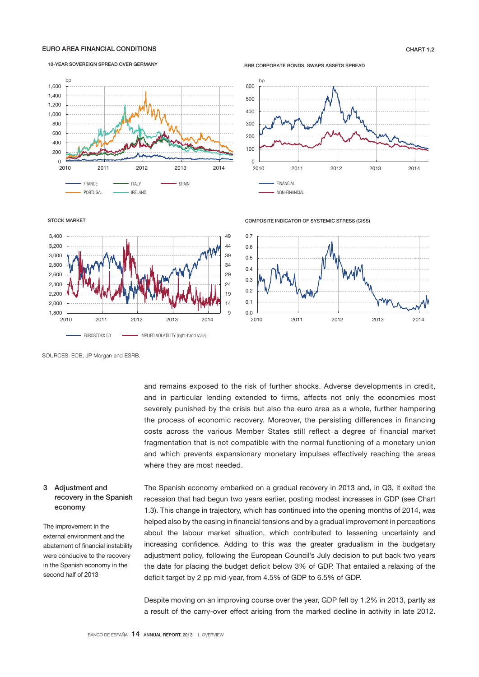### EURO AREA FINANCIAL CONDITIONS CHART 1.2

#### 10-YEAR SOVEREIGN SPREAD OVER GERMANY



BBB CORPORATE BONDS. SWAPS ASSETS SPREAD



STOCK MARKET



COMPOSITE INDICATOR OF SYSTEMIC STRESS (CISS)



SOURCES: ECB, JP Morgan and ESRB.

and remains exposed to the risk of further shocks. Adverse developments in credit, and in particular lending extended to firms, affects not only the economies most severely punished by the crisis but also the euro area as a whole, further hampering the process of economic recovery. Moreover, the persisting differences in financing costs across the various Member States still reflect a degree of financial market fragmentation that is not compatible with the normal functioning of a monetary union and which prevents expansionary monetary impulses effectively reaching the areas where they are most needed.

### 3 Adjustment and recovery in the Spanish economy

The improvement in the external environment and the abatement of financial instability were conducive to the recovery in the Spanish economy in the second half of 2013

The Spanish economy embarked on a gradual recovery in 2013 and, in Q3, it exited the recession that had begun two years earlier, posting modest increases in GDP (see Chart 1.3). This change in trajectory, which has continued into the opening months of 2014, was helped also by the easing in financial tensions and by a gradual improvement in perceptions about the labour market situation, which contributed to lessening uncertainty and increasing confidence. Adding to this was the greater gradualism in the budgetary adjustment policy, following the European Council's July decision to put back two years the date for placing the budget deficit below 3% of GDP. That entailed a relaxing of the deficit target by 2 pp mid-year, from 4.5% of GDP to 6.5% of GDP.

Despite moving on an improving course over the year, GDP fell by 1.2% in 2013, partly as a result of the carry-over effect arising from the marked decline in activity in late 2012.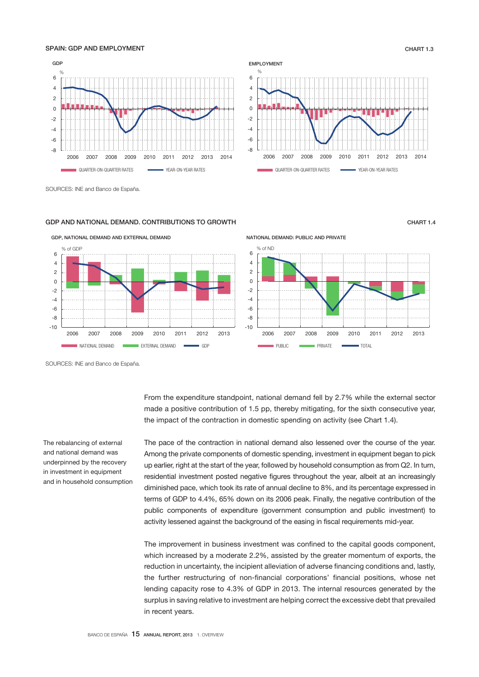### SPAIN: GDP AND EMPLOYMENT **CHART 1.3**





SOURCES: INE and Banco de España.

#### GDP AND NATIONAL DEMAND. CONTRIBUTIONS TO GROWTH CHART 1.4



GDP, NATIONAL DEMAND AND EXTERNAL DEMAND



SOURCES: INE and Banco de España.

The rebalancing of external and national demand was underpinned by the recovery in investment in equipment and in household consumption From the expenditure standpoint, national demand fell by 2.7% while the external sector made a positive contribution of 1.5 pp, thereby mitigating, for the sixth consecutive year, the impact of the contraction in domestic spending on activity (see Chart 1.4).

The pace of the contraction in national demand also lessened over the course of the year. Among the private components of domestic spending, investment in equipment began to pick up earlier, right at the start of the year, followed by household consumption as from Q2. In turn, residential investment posted negative figures throughout the year, albeit at an increasingly diminished pace, which took its rate of annual decline to 8%, and its percentage expressed in terms of GDP to 4.4%, 65% down on its 2006 peak. Finally, the negative contribution of the public components of expenditure (government consumption and public investment) to activity lessened against the background of the easing in fiscal requirements mid-year.

The improvement in business investment was confined to the capital goods component, which increased by a moderate 2.2%, assisted by the greater momentum of exports, the reduction in uncertainty, the incipient alleviation of adverse financing conditions and, lastly, the further restructuring of non-financial corporations' financial positions, whose net lending capacity rose to 4.3% of GDP in 2013. The internal resources generated by the surplus in saving relative to investment are helping correct the excessive debt that prevailed in recent years.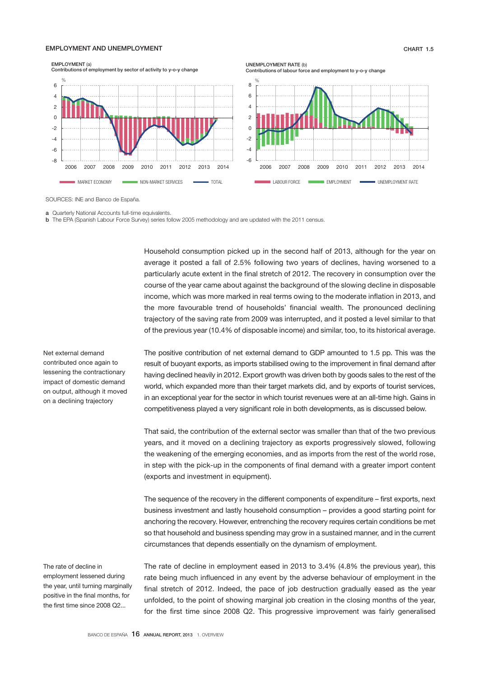### EMPLOYMENT AND UNEMPLOYMENT CHART 1.5

EMPLOYMENT (a) Contributions of employment by sector of activity to y-o-y change







SOURCES: INE and Banco de España.

**a** Quarterly National Accounts full-time equivalents.

b The EPA (Spanish Labour Force Survey) series follow 2005 methodology and are updated with the 2011 census.

Household consumption picked up in the second half of 2013, although for the year on average it posted a fall of 2.5% following two years of declines, having worsened to a particularly acute extent in the final stretch of 2012. The recovery in consumption over the course of the year came about against the background of the slowing decline in disposable income, which was more marked in real terms owing to the moderate inflation in 2013, and the more favourable trend of households' financial wealth. The pronounced declining trajectory of the saving rate from 2009 was interrupted, and it posted a level similar to that of the previous year (10.4% of disposable income) and similar, too, to its historical average.

Net external demand contributed once again to lessening the contractionary impact of domestic demand on output, although it moved on a declining trajectory

The rate of decline in employment lessened during the year, until turning marginally positive in the final months, for the first time since 2008 Q2...

The positive contribution of net external demand to GDP amounted to 1.5 pp. This was the result of buoyant exports, as imports stabilised owing to the improvement in final demand after having declined heavily in 2012. Export growth was driven both by goods sales to the rest of the world, which expanded more than their target markets did, and by exports of tourist services, in an exceptional year for the sector in which tourist revenues were at an all-time high. Gains in competitiveness played a very significant role in both developments, as is discussed below.

That said, the contribution of the external sector was smaller than that of the two previous years, and it moved on a declining trajectory as exports progressively slowed, following the weakening of the emerging economies, and as imports from the rest of the world rose, in step with the pick-up in the components of final demand with a greater import content (exports and investment in equipment).

The sequence of the recovery in the different components of expenditure – first exports, next business investment and lastly household consumption – provides a good starting point for anchoring the recovery. However, entrenching the recovery requires certain conditions be met so that household and business spending may grow in a sustained manner, and in the current circumstances that depends essentially on the dynamism of employment.

The rate of decline in employment eased in 2013 to 3.4% (4.8% the previous year), this rate being much influenced in any event by the adverse behaviour of employment in the final stretch of 2012. Indeed, the pace of job destruction gradually eased as the year unfolded, to the point of showing marginal job creation in the closing months of the year, for the first time since 2008 Q2. This progressive improvement was fairly generalised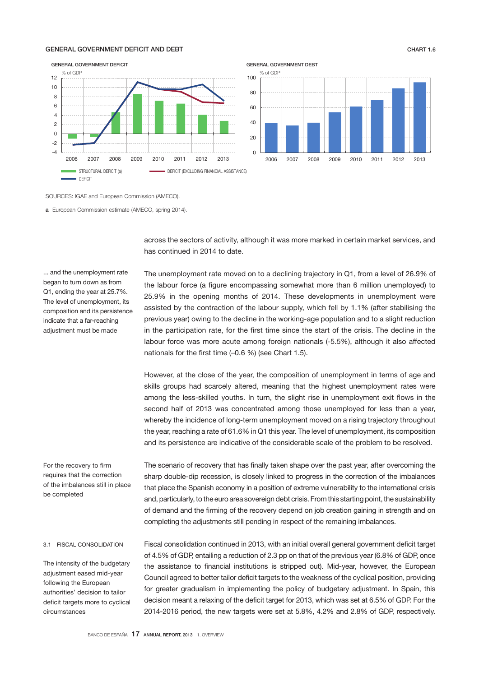#### GENERAL GOVERNMENT DEFICIT AND DEBT CHART 1.6



nationals for the first time (–0.6 %) (see Chart 1.5).

SOURCES: IGAE and European Commission (AMECO).

a European Commission estimate (AMECO, spring 2014).

across the sectors of activity, although it was more marked in certain market services, and has continued in 2014 to date.

The unemployment rate moved on to a declining trajectory in Q1, from a level of 26.9% of the labour force (a figure encompassing somewhat more than 6 million unemployed) to 25.9% in the opening months of 2014. These developments in unemployment were assisted by the contraction of the labour supply, which fell by 1.1% (after stabilising the previous year) owing to the decline in the working-age population and to a slight reduction in the participation rate, for the first time since the start of the crisis. The decline in the labour force was more acute among foreign nationals (-5.5%), although it also affected

However, at the close of the year, the composition of unemployment in terms of age and skills groups had scarcely altered, meaning that the highest unemployment rates were

... and the unemployment rate began to turn down as from Q1, ending the year at 25.7%. The level of unemployment, its composition and its persistence indicate that a far-reaching adjustment must be made

> among the less-skilled youths. In turn, the slight rise in unemployment exit flows in the second half of 2013 was concentrated among those unemployed for less than a year, whereby the incidence of long-term unemployment moved on a rising trajectory throughout the year, reaching a rate of 61.6% in Q1 this year. The level of unemployment, its composition and its persistence are indicative of the considerable scale of the problem to be resolved.

The scenario of recovery that has finally taken shape over the past year, after overcoming the sharp double-dip recession, is closely linked to progress in the correction of the imbalances that place the Spanish economy in a position of extreme vulnerability to the international crisis and, particularly, to the euro area sovereign debt crisis. From this starting point, the sustainability of demand and the firming of the recovery depend on job creation gaining in strength and on completing the adjustments still pending in respect of the remaining imbalances.

Fiscal consolidation continued in 2013, with an initial overall general government deficit target of 4.5% of GDP, entailing a reduction of 2.3 pp on that of the previous year (6.8% of GDP, once the assistance to financial institutions is stripped out). Mid-year, however, the European Council agreed to better tailor deficit targets to the weakness of the cyclical position, providing for greater gradualism in implementing the policy of budgetary adjustment. In Spain, this decision meant a relaxing of the deficit target for 2013, which was set at 6.5% of GDP. For the 2014-2016 period, the new targets were set at 5.8%, 4.2% and 2.8% of GDP, respectively.

For the recovery to firm requires that the correction of the imbalances still in place be completed

#### 3.1 FISCAL CONSOLIDATION

The intensity of the budgetary adjustment eased mid-year following the European authorities' decision to tailor deficit targets more to cyclical circumstances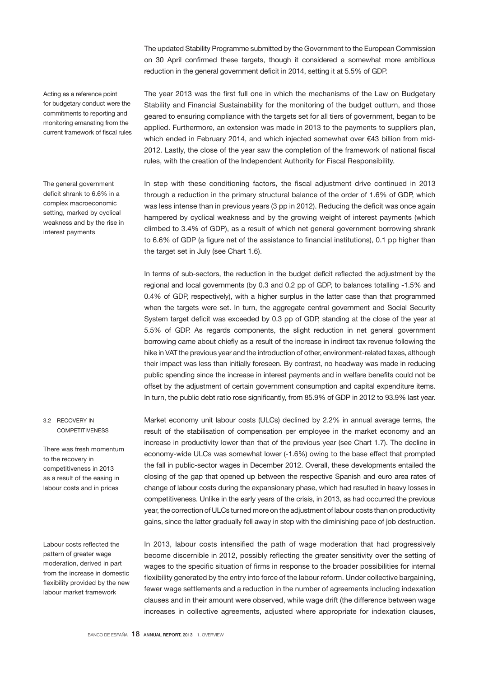The updated Stability Programme submitted by the Government to the European Commission on 30 April confirmed these targets, though it considered a somewhat more ambitious reduction in the general government deficit in 2014, setting it at 5.5% of GDP.

Acting as a reference point for budgetary conduct were the commitments to reporting and monitoring emanating from the current framework of fiscal rules

The general government deficit shrank to 6.6% in a complex macroeconomic setting, marked by cyclical weakness and by the rise in interest payments

### 3.2 RECOVERY IN **COMPETITIVENESS**

There was fresh momentum to the recovery in competitiveness in 2013 as a result of the easing in labour costs and in prices

Labour costs reflected the pattern of greater wage moderation, derived in part from the increase in domestic flexibility provided by the new labour market framework

The year 2013 was the first full one in which the mechanisms of the Law on Budgetary Stability and Financial Sustainability for the monitoring of the budget outturn, and those geared to ensuring compliance with the targets set for all tiers of government, began to be applied. Furthermore, an extension was made in 2013 to the payments to suppliers plan, which ended in February 2014, and which injected somewhat over €43 billion from mid-2012. Lastly, the close of the year saw the completion of the framework of national fiscal rules, with the creation of the Independent Authority for Fiscal Responsibility.

In step with these conditioning factors, the fiscal adjustment drive continued in 2013 through a reduction in the primary structural balance of the order of 1.6% of GDP, which was less intense than in previous years (3 pp in 2012). Reducing the deficit was once again hampered by cyclical weakness and by the growing weight of interest payments (which climbed to 3.4% of GDP), as a result of which net general government borrowing shrank to 6.6% of GDP (a figure net of the assistance to financial institutions), 0.1 pp higher than the target set in July (see Chart 1.6).

In terms of sub-sectors, the reduction in the budget deficit reflected the adjustment by the regional and local governments (by 0.3 and 0.2 pp of GDP, to balances totalling -1.5% and 0.4% of GDP, respectively), with a higher surplus in the latter case than that programmed when the targets were set. In turn, the aggregate central government and Social Security System target deficit was exceeded by 0.3 pp of GDP, standing at the close of the year at 5.5% of GDP. As regards components, the slight reduction in net general government borrowing came about chiefly as a result of the increase in indirect tax revenue following the hike in VAT the previous year and the introduction of other, environment-related taxes, although their impact was less than initially foreseen. By contrast, no headway was made in reducing public spending since the increase in interest payments and in welfare benefits could not be offset by the adjustment of certain government consumption and capital expenditure items. In turn, the public debt ratio rose significantly, from 85.9% of GDP in 2012 to 93.9% last year.

Market economy unit labour costs (ULCs) declined by 2.2% in annual average terms, the result of the stabilisation of compensation per employee in the market economy and an increase in productivity lower than that of the previous year (see Chart 1.7). The decline in economy-wide ULCs was somewhat lower (-1.6%) owing to the base effect that prompted the fall in public-sector wages in December 2012. Overall, these developments entailed the closing of the gap that opened up between the respective Spanish and euro area rates of change of labour costs during the expansionary phase, which had resulted in heavy losses in competitiveness. Unlike in the early years of the crisis, in 2013, as had occurred the previous year, the correction of ULCs turned more on the adjustment of labour costs than on productivity gains, since the latter gradually fell away in step with the diminishing pace of job destruction.

In 2013, labour costs intensified the path of wage moderation that had progressively become discernible in 2012, possibly reflecting the greater sensitivity over the setting of wages to the specific situation of firms in response to the broader possibilities for internal flexibility generated by the entry into force of the labour reform. Under collective bargaining, fewer wage settlements and a reduction in the number of agreements including indexation clauses and in their amount were observed, while wage drift (the difference between wage increases in collective agreements, adjusted where appropriate for indexation clauses,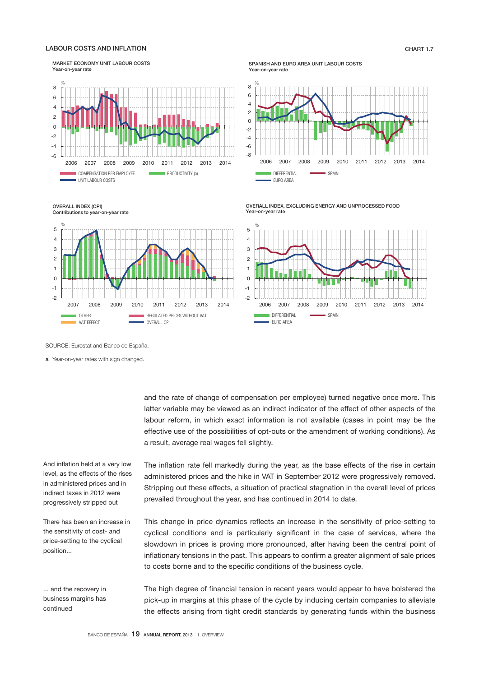### LABOUR COSTS AND INFLATION CHART 1.7

MARKET ECONOMY UNIT LABOUR COSTS Year-on-year rate



OVERALL INDEX (CPI) Contributions to year-on-year rate



SPANISH AND EURO AREA UNIT LABOUR COSTS Year-on-year rate



OVERALL INDEX, EXCLUDING ENERGY AND UNPROCESSED FOOD Year-on-year rate



SOURCE: Eurostat and Banco de España.

a Year-on-year rates with sign changed.

and the rate of change of compensation per employee) turned negative once more. This latter variable may be viewed as an indirect indicator of the effect of other aspects of the labour reform, in which exact information is not available (cases in point may be the effective use of the possibilities of opt-outs or the amendment of working conditions). As a result, average real wages fell slightly.

The inflation rate fell markedly during the year, as the base effects of the rise in certain administered prices and the hike in VAT in September 2012 were progressively removed. Stripping out these effects, a situation of practical stagnation in the overall level of prices prevailed throughout the year, and has continued in 2014 to date.

This change in price dynamics reflects an increase in the sensitivity of price-setting to cyclical conditions and is particularly significant in the case of services, where the slowdown in prices is proving more pronounced, after having been the central point of inflationary tensions in the past. This appears to confirm a greater alignment of sale prices to costs borne and to the specific conditions of the business cycle.

The high degree of financial tension in recent years would appear to have bolstered the pick-up in margins at this phase of the cycle by inducing certain companies to alleviate the effects arising from tight credit standards by generating funds within the business

And inflation held at a very low level, as the effects of the rises in administered prices and in indirect taxes in 2012 were progressively stripped out

There has been an increase in the sensitivity of cost- and price-setting to the cyclical position...

... and the recovery in business margins has continued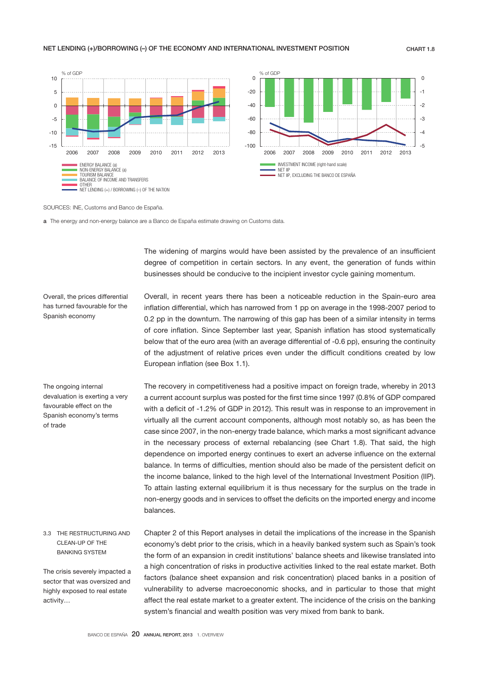### NET LENDING (+)/BORROWING (-) OF THE ECONOMY AND INTERNATIONAL INVESTMENT POSITION CHART 1.8



SOURCES: INE, Customs and Banco de España.

a The energy and non-energy balance are a Banco de España estimate drawing on Customs data.

The widening of margins would have been assisted by the prevalence of an insufficient degree of competition in certain sectors. In any event, the generation of funds within businesses should be conducive to the incipient investor cycle gaining momentum.

Overall, the prices differential has turned favourable for the Spanish economy

Overall, in recent years there has been a noticeable reduction in the Spain-euro area inflation differential, which has narrowed from 1 pp on average in the 1998-2007 period to 0.2 pp in the downturn. The narrowing of this gap has been of a similar intensity in terms of core inflation. Since September last year, Spanish inflation has stood systematically below that of the euro area (with an average differential of -0.6 pp), ensuring the continuity of the adjustment of relative prices even under the difficult conditions created by low European inflation (see Box 1.1).

The ongoing internal devaluation is exerting a very favourable effect on the Spanish economy's terms of trade

The recovery in competitiveness had a positive impact on foreign trade, whereby in 2013 a current account surplus was posted for the first time since 1997 (0.8% of GDP compared with a deficit of -1.2% of GDP in 2012). This result was in response to an improvement in virtually all the current account components, although most notably so, as has been the case since 2007, in the non-energy trade balance, which marks a most significant advance in the necessary process of external rebalancing (see Chart 1.8). That said, the high dependence on imported energy continues to exert an adverse influence on the external balance. In terms of difficulties, mention should also be made of the persistent deficit on the income balance, linked to the high level of the International Investment Position (IIP). To attain lasting external equilibrium it is thus necessary for the surplus on the trade in non-energy goods and in services to offset the deficits on the imported energy and income balances.

Chapter 2 of this Report analyses in detail the implications of the increase in the Spanish economy's debt prior to the crisis, which in a heavily banked system such as Spain's took the form of an expansion in credit institutions' balance sheets and likewise translated into a high concentration of risks in productive activities linked to the real estate market. Both factors (balance sheet expansion and risk concentration) placed banks in a position of vulnerability to adverse macroeconomic shocks, and in particular to those that might affect the real estate market to a greater extent. The incidence of the crisis on the banking system's financial and wealth position was very mixed from bank to bank. 3.3 THE RESTRUCTURING AND CLEAN-UP OF THE BANKING SYSTEM The crisis severely impacted a sector that was oversized and highly exposed to real estate activity…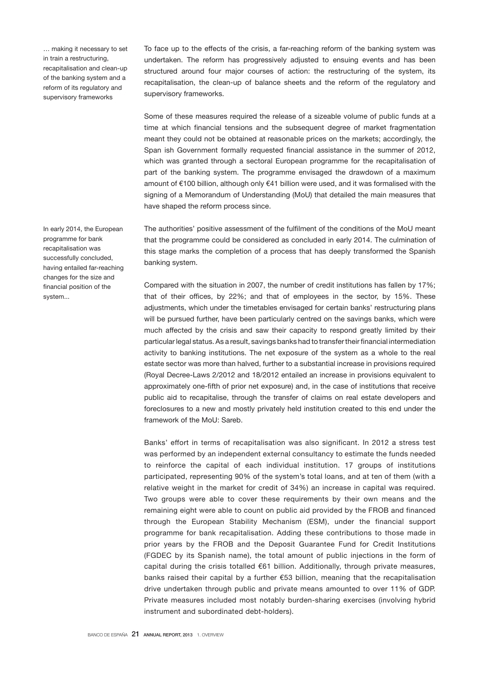… making it necessary to set in train a restructuring, recapitalisation and clean-up of the banking system and a reform of its regulatory and supervisory frameworks

To face up to the effects of the crisis, a far-reaching reform of the banking system was undertaken. The reform has progressively adjusted to ensuing events and has been structured around four major courses of action: the restructuring of the system, its recapitalisation, the clean-up of balance sheets and the reform of the regulatory and supervisory frameworks.

Some of these measures required the release of a sizeable volume of public funds at a time at which financial tensions and the subsequent degree of market fragmentation meant they could not be obtained at reasonable prices on the markets; accordingly, the Span ish Government formally requested financial assistance in the summer of 2012, which was granted through a sectoral European programme for the recapitalisation of part of the banking system. The programme envisaged the drawdown of a maximum amount of €100 billion, although only €41 billion were used, and it was formalised with the signing of a Memorandum of Understanding (MoU) that detailed the main measures that have shaped the reform process since.

The authorities' positive assessment of the fulfilment of the conditions of the MoU meant that the programme could be considered as concluded in early 2014. The culmination of this stage marks the completion of a process that has deeply transformed the Spanish banking system.

Compared with the situation in 2007, the number of credit institutions has fallen by 17%; that of their offices, by 22%; and that of employees in the sector, by 15%. These adjustments, which under the timetables envisaged for certain banks' restructuring plans will be pursued further, have been particularly centred on the savings banks, which were much affected by the crisis and saw their capacity to respond greatly limited by their particular legal status. As a result, savings banks had to transfer their financial intermediation activity to banking institutions. The net exposure of the system as a whole to the real estate sector was more than halved, further to a substantial increase in provisions required (Royal Decree-Laws 2/2012 and 18/2012 entailed an increase in provisions equivalent to approximately one-fifth of prior net exposure) and, in the case of institutions that receive public aid to recapitalise, through the transfer of claims on real estate developers and foreclosures to a new and mostly privately held institution created to this end under the framework of the MoU: Sareb.

Banks' effort in terms of recapitalisation was also significant. In 2012 a stress test was performed by an independent external consultancy to estimate the funds needed to reinforce the capital of each individual institution. 17 groups of institutions participated, representing 90% of the system's total loans, and at ten of them (with a relative weight in the market for credit of 34%) an increase in capital was required. Two groups were able to cover these requirements by their own means and the remaining eight were able to count on public aid provided by the FROB and financed through the European Stability Mechanism (ESM), under the financial support programme for bank recapitalisation. Adding these contributions to those made in prior years by the FROB and the Deposit Guarantee Fund for Credit Institutions (FGDEC by its Spanish name), the total amount of public injections in the form of capital during the crisis totalled €61 billion. Additionally, through private measures, banks raised their capital by a further €53 billion, meaning that the recapitalisation drive undertaken through public and private means amounted to over 11% of GDP. Private measures included most notably burden-sharing exercises (involving hybrid instrument and subordinated debt-holders).

In early 2014, the European programme for bank recapitalisation was successfully concluded, having entailed far-reaching changes for the size and financial position of the system...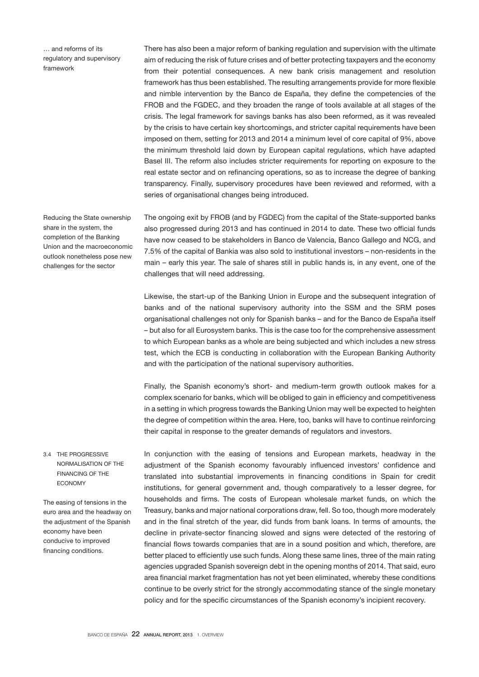… and reforms of its regulatory and supervisory framework

Reducing the State ownership share in the system, the completion of the Banking Union and the macroeconomic outlook nonetheless pose new

challenges for the sector

There has also been a major reform of banking regulation and supervision with the ultimate aim of reducing the risk of future crises and of better protecting taxpayers and the economy from their potential consequences. A new bank crisis management and resolution framework has thus been established. The resulting arrangements provide for more flexible and nimble intervention by the Banco de España, they define the competencies of the FROB and the FGDEC, and they broaden the range of tools available at all stages of the crisis. The legal framework for savings banks has also been reformed, as it was revealed by the crisis to have certain key shortcomings, and stricter capital requirements have been imposed on them, setting for 2013 and 2014 a minimum level of core capital of 9%, above the minimum threshold laid down by European capital regulations, which have adapted Basel III. The reform also includes stricter requirements for reporting on exposure to the real estate sector and on refinancing operations, so as to increase the degree of banking transparency. Finally, supervisory procedures have been reviewed and reformed, with a series of organisational changes being introduced.

The ongoing exit by FROB (and by FGDEC) from the capital of the State-supported banks also progressed during 2013 and has continued in 2014 to date. These two official funds have now ceased to be stakeholders in Banco de Valencia, Banco Gallego and NCG, and 7.5% of the capital of Bankia was also sold to institutional investors – non-residents in the main – early this year. The sale of shares still in public hands is, in any event, one of the challenges that will need addressing.

Likewise, the start-up of the Banking Union in Europe and the subsequent integration of banks and of the national supervisory authority into the SSM and the SRM poses organisational challenges not only for Spanish banks – and for the Banco de España itself – but also for all Eurosystem banks. This is the case too for the comprehensive assessment to which European banks as a whole are being subjected and which includes a new stress test, which the ECB is conducting in collaboration with the European Banking Authority and with the participation of the national supervisory authorities.

Finally, the Spanish economy's short- and medium-term growth outlook makes for a complex scenario for banks, which will be obliged to gain in efficiency and competitiveness in a setting in which progress towards the Banking Union may well be expected to heighten the degree of competition within the area. Here, too, banks will have to continue reinforcing their capital in response to the greater demands of regulators and investors.

In conjunction with the easing of tensions and European markets, headway in the adjustment of the Spanish economy favourably influenced investors' confidence and translated into substantial improvements in financing conditions in Spain for credit institutions, for general government and, though comparatively to a lesser degree, for households and firms. The costs of European wholesale market funds, on which the Treasury, banks and major national corporations draw, fell. So too, though more moderately and in the final stretch of the year, did funds from bank loans. In terms of amounts, the decline in private-sector financing slowed and signs were detected of the restoring of financial flows towards companies that are in a sound position and which, therefore, are better placed to efficiently use such funds. Along these same lines, three of the main rating agencies upgraded Spanish sovereign debt in the opening months of 2014. That said, euro area financial market fragmentation has not yet been eliminated, whereby these conditions continue to be overly strict for the strongly accommodating stance of the single monetary policy and for the specific circumstances of the Spanish economy's incipient recovery.

3.4 THE PROGRESSIVE NORMALISATION OF THE FINANCING OF THE ECONOMY

The easing of tensions in the euro area and the headway on the adjustment of the Spanish economy have been conducive to improved financing conditions.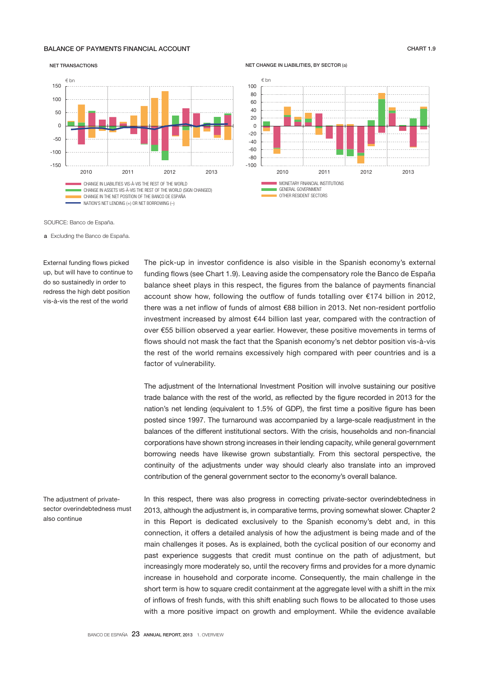### BALANCE OF PAYMENTS FINANCIAL ACCOUNT **CHART 1.9** CHART 1.9

#### NET TRANSACTIONS



NET CHANGE IN LIABILITIES, BY SECTOR (a)



SOURCE: Banco de España.

a Excluding the Banco de España.

External funding flows picked up, but will have to continue to do so sustainedly in order to redress the high debt position vis-à-vis the rest of the world

The pick-up in investor confidence is also visible in the Spanish economy's external funding flows (see Chart 1.9). Leaving aside the compensatory role the Banco de España balance sheet plays in this respect, the figures from the balance of payments financial account show how, following the outflow of funds totalling over €174 billion in 2012, there was a net inflow of funds of almost €88 billion in 2013. Net non-resident portfolio investment increased by almost €44 billion last year, compared with the contraction of over €55 billion observed a year earlier. However, these positive movements in terms of flows should not mask the fact that the Spanish economy's net debtor position vis-à-vis the rest of the world remains excessively high compared with peer countries and is a factor of vulnerability.

The adjustment of the International Investment Position will involve sustaining our positive trade balance with the rest of the world, as reflected by the figure recorded in 2013 for the nation's net lending (equivalent to 1.5% of GDP), the first time a positive figure has been posted since 1997. The turnaround was accompanied by a large-scale readjustment in the balances of the different institutional sectors. With the crisis, households and non-financial corporations have shown strong increases in their lending capacity, while general government borrowing needs have likewise grown substantially. From this sectoral perspective, the continuity of the adjustments under way should clearly also translate into an improved contribution of the general government sector to the economy's overall balance.

The adjustment of privatesector overindebtedness must also continue

In this respect, there was also progress in correcting private-sector overindebtedness in 2013, although the adjustment is, in comparative terms, proving somewhat slower. Chapter 2 in this Report is dedicated exclusively to the Spanish economy's debt and, in this connection, it offers a detailed analysis of how the adjustment is being made and of the main challenges it poses. As is explained, both the cyclical position of our economy and past experience suggests that credit must continue on the path of adjustment, but increasingly more moderately so, until the recovery firms and provides for a more dynamic increase in household and corporate income. Consequently, the main challenge in the short term is how to square credit containment at the aggregate level with a shift in the mix of inflows of fresh funds, with this shift enabling such flows to be allocated to those uses with a more positive impact on growth and employment. While the evidence available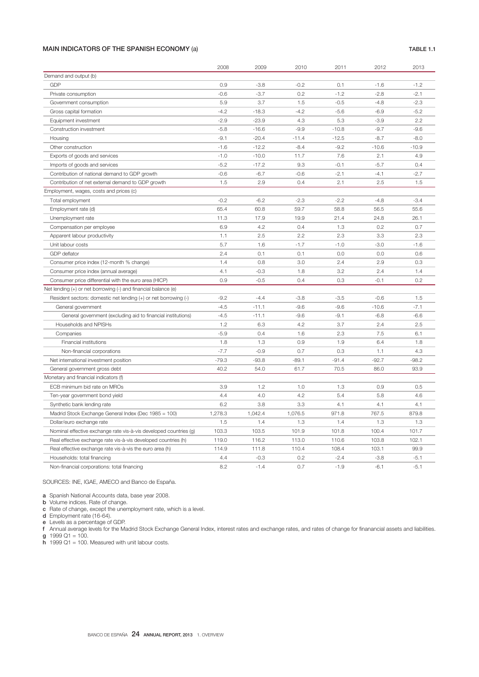### MAIN INDICATORS OF THE SPANISH ECONOMY (a) TABLE 1.1

|                                                                   | 2008    | 2009    | 2010    | 2011    | 2012    | 2013    |
|-------------------------------------------------------------------|---------|---------|---------|---------|---------|---------|
| Demand and output (b)                                             |         |         |         |         |         |         |
| <b>GDP</b>                                                        | 0.9     | $-3.8$  | $-0.2$  | 0.1     | $-1.6$  | $-1.2$  |
| Private consumption                                               | $-0.6$  | $-3.7$  | 0.2     | $-1.2$  | $-2.8$  | $-2.1$  |
| Government consumption                                            | 5.9     | 3.7     | 1.5     | $-0.5$  | $-4.8$  | $-2.3$  |
| Gross capital formation                                           | $-4.2$  | $-18.3$ | $-4.2$  | $-5.6$  | $-6.9$  | $-5.2$  |
| Equipment investment                                              | $-2.9$  | $-23.9$ | 4.3     | 5.3     | $-3.9$  | 2.2     |
| Construction investment                                           | $-5.8$  | $-16.6$ | $-9.9$  | $-10.8$ | $-9.7$  | $-9.6$  |
| Housing                                                           | $-9.1$  | $-20.4$ | $-11.4$ | $-12.5$ | $-8.7$  | $-8.0$  |
| Other construction                                                | $-1.6$  | $-12.2$ | $-8.4$  | $-9.2$  | $-10.6$ | $-10.9$ |
| Exports of goods and services                                     | $-1.0$  | $-10.0$ | 11.7    | 7.6     | 2.1     | 4.9     |
| Imports of goods and services                                     | $-5.2$  | $-17.2$ | 9.3     | $-0.1$  | $-5.7$  | 0.4     |
| Contribution of national demand to GDP growth                     | $-0.6$  | $-6.7$  | $-0.6$  | $-2.1$  | $-4.1$  | $-2.7$  |
| Contribution of net external demand to GDP growth                 | 1.5     | 2.9     | 0.4     | 2.1     | 2.5     | 1.5     |
| Employment, wages, costs and prices (c)                           |         |         |         |         |         |         |
| Total employment                                                  | $-0.2$  | $-6.2$  | $-2.3$  | $-2.2$  | $-4.8$  | $-3.4$  |
| Employment rate (d)                                               | 65.4    | 60.8    | 59.7    | 58.8    | 56.5    | 55.6    |
| Unemployment rate                                                 | 11.3    | 17.9    | 19.9    | 21.4    | 24.8    | 26.1    |
| Compensation per employee                                         | 6.9     | 4.2     | 0.4     | 1.3     | 0.2     | 0.7     |
| Apparent labour productivity                                      | 1.1     | 2.5     | 2.2     | 2.3     | 3.3     | 2.3     |
| Unit labour costs                                                 | 5.7     | 1.6     | $-1.7$  | $-1.0$  | $-3.0$  | $-1.6$  |
| <b>GDP</b> deflator                                               | 2.4     | 0.1     | 0.1     | 0.0     | 0.0     | 0.6     |
| Consumer price index (12-month % change)                          | 1.4     | 0.8     | 3.0     | 2.4     | 2.9     | 0.3     |
| Consumer price index (annual average)                             | 4.1     | $-0.3$  | 1.8     | 3.2     | 2.4     | 1.4     |
| Consumer price differential with the euro area (HICP)             | 0.9     | $-0.5$  | 0.4     | 0.3     | $-0.1$  | 0.2     |
| Net lending (+) or net borrowing (-) and financial balance (e)    |         |         |         |         |         |         |
| Resident sectors: domestic net lending (+) or net borrowing (-)   | $-9.2$  | $-4.4$  | $-3.8$  | $-3.5$  | $-0.6$  | 1.5     |
| General government                                                | $-4.5$  | $-11.1$ | $-9.6$  | $-9.6$  | $-10.6$ | $-7.1$  |
| General government (excluding aid to financial institutions)      | $-4.5$  | $-11.1$ | $-9.6$  | $-9.1$  | $-6.8$  | $-6.6$  |
| Households and NPISHs                                             | 1.2     | 6.3     | 4.2     | 3.7     | 2.4     | 2.5     |
| Companies                                                         | $-5.9$  | 0.4     | 1.6     | 2.3     | 7.5     | 6.1     |
| Financial institutions                                            | 1.8     | 1.3     | 0.9     | 1.9     | 6.4     | 1.8     |
| Non-financial corporations                                        | $-7.7$  | $-0.9$  | 0.7     | 0.3     | 1.1     | 4.3     |
| Net international investment position                             | $-79.3$ | $-93.8$ | $-89.1$ | $-91.4$ | $-92.7$ | $-98.2$ |
| General government gross debt                                     | 40.2    | 54.0    | 61.7    | 70.5    | 86.0    | 93.9    |
| Monetary and financial indicators (f)                             |         |         |         |         |         |         |
| ECB minimum bid rate on MROs                                      | 3.9     | 1.2     | 1.0     | 1.3     | 0.9     | 0.5     |
| Ten-year government bond yield                                    | 4.4     | 4.0     | 4.2     | 5.4     | 5.8     | 4.6     |
| Synthetic bank lending rate                                       | 6.2     | 3.8     | 3.3     | 4.1     | 4.1     | 4.1     |
| Madrid Stock Exchange General Index (Dec 1985 = 100)              | 1,278.3 | 1,042.4 | 1,076.5 | 971.8   | 767.5   | 879.8   |
| Dollar/euro exchange rate                                         | 1.5     | 1.4     | 1.3     | 1.4     | 1.3     | 1.3     |
| Nominal effective exchange rate vis-à-vis developed countries (g) | 103.3   | 103.5   | 101.9   | 101.8   | 100.4   | 101.7   |
| Real effective exchange rate vis-à-vis developed countries (h)    | 119.0   | 116.2   | 113.0   | 110.6   | 103.8   | 102.1   |
| Real effective exchange rate vis-à-vis the euro area (h)          | 114.9   | 111.8   | 110.4   | 108.4   | 103.1   | 99.9    |
| Households: total financing                                       | 4.4     | $-0.3$  | 0.2     | $-2.4$  | $-3.8$  | $-5.1$  |
| Non-financial corporations: total financing                       | 8.2     | $-1.4$  | 0.7     | $-1.9$  | $-6.1$  | $-5.1$  |

### SOURCES: INE, IGAE, AMECO and Banco de España.

a Spanish National Accounts data, base year 2008.

**b** Volume indices. Rate of change.

c Rate of change, except the unemployment rate, which is a level.

d Employment rate (16-64).

e Levels as a percentage of GDP.

f Annual average levels for the Madrid Stock Exchange General Index, interest rates and exchange rates, and rates of change for finanancial assets and liabilities. g  $1999$  Q1 = 100.

 $h$  1999 Q1 = 100. Measured with unit labour costs.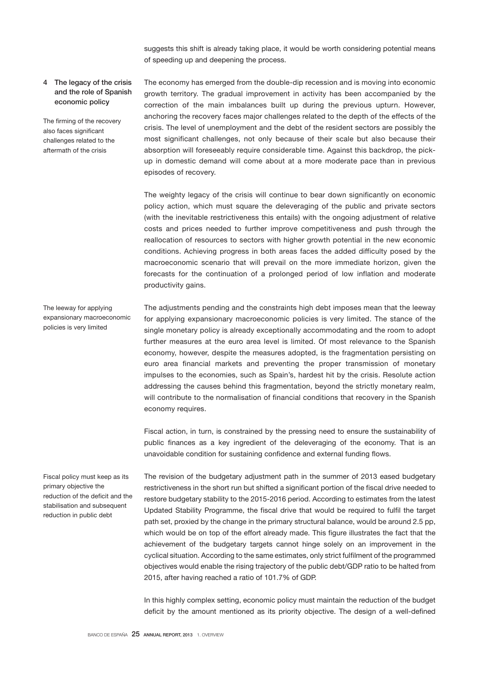suggests this shift is already taking place, it would be worth considering potential means of speeding up and deepening the process.

### 4 The legacy of the crisis and the role of Spanish economic policy

The firming of the recovery also faces significant challenges related to the aftermath of the crisis

The economy has emerged from the double-dip recession and is moving into economic growth territory. The gradual improvement in activity has been accompanied by the correction of the main imbalances built up during the previous upturn. However, anchoring the recovery faces major challenges related to the depth of the effects of the crisis. The level of unemployment and the debt of the resident sectors are possibly the most significant challenges, not only because of their scale but also because their absorption will foreseeably require considerable time. Against this backdrop, the pickup in domestic demand will come about at a more moderate pace than in previous episodes of recovery.

The weighty legacy of the crisis will continue to bear down significantly on economic policy action, which must square the deleveraging of the public and private sectors (with the inevitable restrictiveness this entails) with the ongoing adjustment of relative costs and prices needed to further improve competitiveness and push through the reallocation of resources to sectors with higher growth potential in the new economic conditions. Achieving progress in both areas faces the added difficulty posed by the macroeconomic scenario that will prevail on the more immediate horizon, given the forecasts for the continuation of a prolonged period of low inflation and moderate productivity gains.

The leeway for applying expansionary macroeconomic policies is very limited

The adjustments pending and the constraints high debt imposes mean that the leeway for applying expansionary macroeconomic policies is very limited. The stance of the single monetary policy is already exceptionally accommodating and the room to adopt further measures at the euro area level is limited. Of most relevance to the Spanish economy, however, despite the measures adopted, is the fragmentation persisting on euro area financial markets and preventing the proper transmission of monetary impulses to the economies, such as Spain's, hardest hit by the crisis. Resolute action addressing the causes behind this fragmentation, beyond the strictly monetary realm, will contribute to the normalisation of financial conditions that recovery in the Spanish economy requires.

Fiscal action, in turn, is constrained by the pressing need to ensure the sustainability of public finances as a key ingredient of the deleveraging of the economy. That is an unavoidable condition for sustaining confidence and external funding flows.

Fiscal policy must keep as its primary objective the reduction of the deficit and the stabilisation and subsequent reduction in public debt

The revision of the budgetary adjustment path in the summer of 2013 eased budgetary restrictiveness in the short run but shifted a significant portion of the fiscal drive needed to restore budgetary stability to the 2015-2016 period. According to estimates from the latest Updated Stability Programme, the fiscal drive that would be required to fulfil the target path set, proxied by the change in the primary structural balance, would be around 2.5 pp, which would be on top of the effort already made. This figure illustrates the fact that the achievement of the budgetary targets cannot hinge solely on an improvement in the cyclical situation. According to the same estimates, only strict fulfilment of the programmed objectives would enable the rising trajectory of the public debt/GDP ratio to be halted from 2015, after having reached a ratio of 101.7% of GDP.

In this highly complex setting, economic policy must maintain the reduction of the budget deficit by the amount mentioned as its priority objective. The design of a well-defined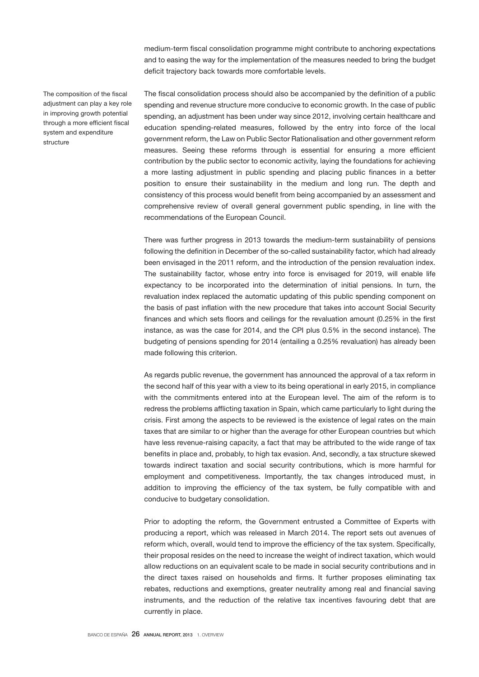medium-term fiscal consolidation programme might contribute to anchoring expectations and to easing the way for the implementation of the measures needed to bring the budget deficit trajectory back towards more comfortable levels.

The composition of the fiscal adjustment can play a key role in improving growth potential through a more efficient fiscal system and expenditure structure

The fiscal consolidation process should also be accompanied by the definition of a public spending and revenue structure more conducive to economic growth. In the case of public spending, an adjustment has been under way since 2012, involving certain healthcare and education spending-related measures, followed by the entry into force of the local government reform, the Law on Public Sector Rationalisation and other government reform measures. Seeing these reforms through is essential for ensuring a more efficient contribution by the public sector to economic activity, laying the foundations for achieving a more lasting adjustment in public spending and placing public finances in a better position to ensure their sustainability in the medium and long run. The depth and consistency of this process would benefit from being accompanied by an assessment and comprehensive review of overall general government public spending, in line with the recommendations of the European Council.

There was further progress in 2013 towards the medium-term sustainability of pensions following the definition in December of the so-called sustainability factor, which had already been envisaged in the 2011 reform, and the introduction of the pension revaluation index. The sustainability factor, whose entry into force is envisaged for 2019, will enable life expectancy to be incorporated into the determination of initial pensions. In turn, the revaluation index replaced the automatic updating of this public spending component on the basis of past inflation with the new procedure that takes into account Social Security finances and which sets floors and ceilings for the revaluation amount (0.25% in the first instance, as was the case for 2014, and the CPI plus 0.5% in the second instance). The budgeting of pensions spending for 2014 (entailing a 0.25% revaluation) has already been made following this criterion.

As regards public revenue, the government has announced the approval of a tax reform in the second half of this year with a view to its being operational in early 2015, in compliance with the commitments entered into at the European level. The aim of the reform is to redress the problems afflicting taxation in Spain, which came particularly to light during the crisis. First among the aspects to be reviewed is the existence of legal rates on the main taxes that are similar to or higher than the average for other European countries but which have less revenue-raising capacity, a fact that may be attributed to the wide range of tax benefits in place and, probably, to high tax evasion. And, secondly, a tax structure skewed towards indirect taxation and social security contributions, which is more harmful for employment and competitiveness. Importantly, the tax changes introduced must, in addition to improving the efficiency of the tax system, be fully compatible with and conducive to budgetary consolidation.

Prior to adopting the reform, the Government entrusted a Committee of Experts with producing a report, which was released in March 2014. The report sets out avenues of reform which, overall, would tend to improve the efficiency of the tax system. Specifically, their proposal resides on the need to increase the weight of indirect taxation, which would allow reductions on an equivalent scale to be made in social security contributions and in the direct taxes raised on households and firms. It further proposes eliminating tax rebates, reductions and exemptions, greater neutrality among real and financial saving instruments, and the reduction of the relative tax incentives favouring debt that are currently in place.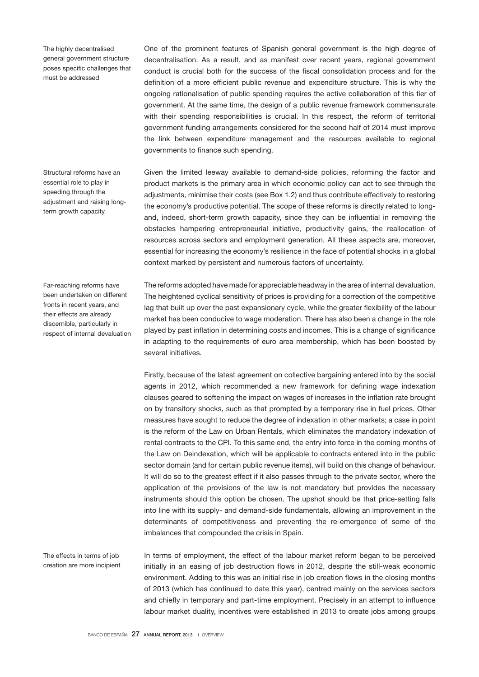The highly decentralised general government structure poses specific challenges that must be addressed

Structural reforms have an essential role to play in speeding through the adiustment and raising longterm growth capacity

Far-reaching reforms have been undertaken on different fronts in recent years, and their effects are already discernible, particularly in respect of internal devaluation

The effects in terms of job creation are more incipient One of the prominent features of Spanish general government is the high degree of decentralisation. As a result, and as manifest over recent years, regional government conduct is crucial both for the success of the fiscal consolidation process and for the definition of a more efficient public revenue and expenditure structure. This is why the ongoing rationalisation of public spending requires the active collaboration of this tier of government. At the same time, the design of a public revenue framework commensurate with their spending responsibilities is crucial. In this respect, the reform of territorial government funding arrangements considered for the second half of 2014 must improve the link between expenditure management and the resources available to regional governments to finance such spending.

Given the limited leeway available to demand-side policies, reforming the factor and product markets is the primary area in which economic policy can act to see through the adjustments, minimise their costs (see Box 1.2) and thus contribute effectively to restoring the economy's productive potential. The scope of these reforms is directly related to longand, indeed, short-term growth capacity, since they can be influential in removing the obstacles hampering entrepreneurial initiative, productivity gains, the reallocation of resources across sectors and employment generation. All these aspects are, moreover, essential for increasing the economy's resilience in the face of potential shocks in a global context marked by persistent and numerous factors of uncertainty.

The reforms adopted have made for appreciable headway in the area of internal devaluation. The heightened cyclical sensitivity of prices is providing for a correction of the competitive lag that built up over the past expansionary cycle, while the greater flexibility of the labour market has been conducive to wage moderation. There has also been a change in the role played by past inflation in determining costs and incomes. This is a change of significance in adapting to the requirements of euro area membership, which has been boosted by several initiatives.

Firstly, because of the latest agreement on collective bargaining entered into by the social agents in 2012, which recommended a new framework for defining wage indexation clauses geared to softening the impact on wages of increases in the inflation rate brought on by transitory shocks, such as that prompted by a temporary rise in fuel prices. Other measures have sought to reduce the degree of indexation in other markets; a case in point is the reform of the Law on Urban Rentals, which eliminates the mandatory indexation of rental contracts to the CPI. To this same end, the entry into force in the coming months of the Law on Deindexation, which will be applicable to contracts entered into in the public sector domain (and for certain public revenue items), will build on this change of behaviour. It will do so to the greatest effect if it also passes through to the private sector, where the application of the provisions of the law is not mandatory but provides the necessary instruments should this option be chosen. The upshot should be that price-setting falls into line with its supply- and demand-side fundamentals, allowing an improvement in the determinants of competitiveness and preventing the re-emergence of some of the imbalances that compounded the crisis in Spain.

In terms of employment, the effect of the labour market reform began to be perceived initially in an easing of job destruction flows in 2012, despite the still-weak economic environment. Adding to this was an initial rise in job creation flows in the closing months of 2013 (which has continued to date this year), centred mainly on the services sectors and chiefly in temporary and part-time employment. Precisely in an attempt to influence labour market duality, incentives were established in 2013 to create jobs among groups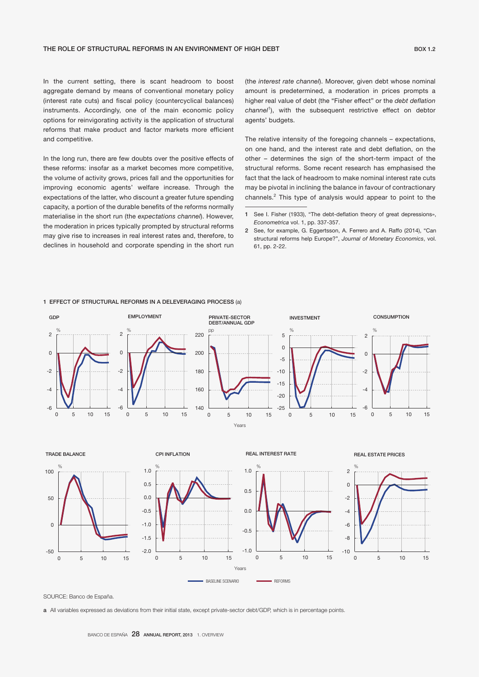In the current setting, there is scant headroom to boost aggregate demand by means of conventional monetary policy (interest rate cuts) and fiscal policy (countercyclical balances) instruments. Accordingly, one of the main economic policy options for reinvigorating activity is the application of structural reforms that make product and factor markets more efficient and competitive.

In the long run, there are few doubts over the positive effects of these reforms: insofar as a market becomes more competitive, the volume of activity grows, prices fall and the opportunities for improving economic agents' welfare increase. Through the expectations of the latter, who discount a greater future spending capacity, a portion of the durable benefits of the reforms normally materialise in the short run (the *expectations channel*). However, the moderation in prices typically prompted by structural reforms may give rise to increases in real interest rates and, therefore, to declines in household and corporate spending in the short run

(the *interest rate channel*). Moreover, given debt whose nominal amount is predetermined, a moderation in prices prompts a higher real value of debt (the "Fisher effect" or the *debt deflation*  channel<sup>1</sup>), with the subsequent restrictive effect on debtor agents' budgets.

The relative intensity of the foregoing channels – expectations, on one hand, and the interest rate and debt deflation, on the other – determines the sign of the short-term impact of the structural reforms. Some recent research has emphasised the fact that the lack of headroom to make nominal interest rate cuts may be pivotal in inclining the balance in favour of contractionary channels.<sup>2</sup> This type of analysis would appear to point to the



#### 1 EFFECT OF STRUCTURAL REFORMS IN A DELEVERAGING PROCESS (a)

SOURCE: Banco de España.

a All variables expressed as deviations from their initial state, except private-sector debt/GDP, which is in percentage points.

<sup>1</sup> See I. Fisher (1933), "The debt-deflation theory of great depressions», *Econometrica* vol. 1, pp. 337-357.

<sup>2</sup> See, for example, G. Eggertsson, A. Ferrero and A. Raffo (2014), "Can structural reforms help Europe?", *Journal of Monetary Economics*, vol. 61, pp. 2-22.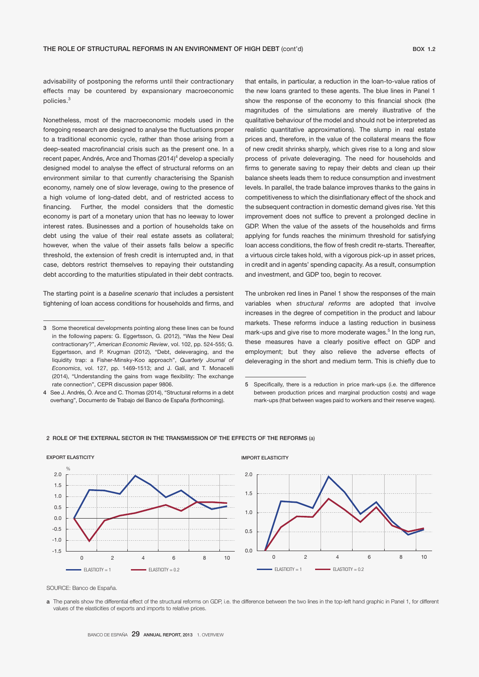advisability of postponing the reforms until their contractionary effects may be countered by expansionary macroeconomic policies.<sup>3</sup>

Nonetheless, most of the macroeconomic models used in the foregoing research are designed to analyse the fluctuations proper to a traditional economic cycle, rather than those arising from a deep-seated macrofinancial crisis such as the present one. In a recent paper, Andrés, Arce and Thomas (2014)<sup>4</sup> develop a specially designed model to analyse the effect of structural reforms on an environment similar to that currently characterising the Spanish economy, namely one of slow leverage, owing to the presence of a high volume of long-dated debt, and of restricted access to financing. Further, the model considers that the domestic economy is part of a monetary union that has no leeway to lower interest rates. Businesses and a portion of households take on debt using the value of their real estate assets as collateral; however, when the value of their assets falls below a specific threshold, the extension of fresh credit is interrupted and, in that case, debtors restrict themselves to repaying their outstanding debt according to the maturities stipulated in their debt contracts.

The starting point is a *baseline scenario* that includes a persistent tightening of loan access conditions for households and firms, and

that entails, in particular, a reduction in the loan-to-value ratios of the new loans granted to these agents. The blue lines in Panel 1 show the response of the economy to this financial shock (the magnitudes of the simulations are merely illustrative of the qualitative behaviour of the model and should not be interpreted as realistic quantitative approximations). The slump in real estate prices and, therefore, in the value of the collateral means the flow of new credit shrinks sharply, which gives rise to a long and slow process of private deleveraging. The need for households and firms to generate saving to repay their debts and clean up their balance sheets leads them to reduce consumption and investment levels. In parallel, the trade balance improves thanks to the gains in competitiveness to which the disinflationary effect of the shock and the subsequent contraction in domestic demand gives rise. Yet this improvement does not suffice to prevent a prolonged decline in GDP. When the value of the assets of the households and firms applying for funds reaches the minimum threshold for satisfying loan access conditions, the flow of fresh credit re-starts. Thereafter, a virtuous circle takes hold, with a vigorous pick-up in asset prices, in credit and in agents' spending capacity. As a result, consumption and investment, and GDP too, begin to recover.

The unbroken red lines in Panel 1 show the responses of the main variables when *structural reforms* are adopted that involve increases in the degree of competition in the product and labour markets. These reforms induce a lasting reduction in business mark-ups and give rise to more moderate wages.<sup>5</sup> In the long run, these measures have a clearly positive effect on GDP and employment; but they also relieve the adverse effects of deleveraging in the short and medium term. This is chiefly due to



#### 2 ROLE OF THE EXTERNAL SECTOR IN THE TRANSMISSION OF THE EFFECTS OF THE REFORMS (a)

SOURCE: Banco de España.

a The panels show the differential effect of the structural reforms on GDP, i.e. the difference between the two lines in the top-left hand graphic in Panel 1, for different values of the elasticities of exports and imports to relative prices.

<sup>3</sup> Some theoretical developments pointing along these lines can be found in the following papers: G. Eggertsson, G. (2012), "Was the New Deal contractionary?", *American Economic Review*, vol. 102, pp. 524-555; G. Eggertsson, and P. Krugman (2012), "Debt, deleveraging, and the liquidity trap: a Fisher-Minsky-Koo approach", *Quarterly Journal of Economics*, vol. 127, pp. 1469-1513; and J. Galí, and T. Monacelli (2014), "Understanding the gains from wage flexibility: The exchange rate connection", CEPR discussion paper 9806.

<sup>4</sup> See J. Andrés, Ó. Arce and C. Thomas (2014), "Structural reforms in a debt overhang", Documento de Trabajo del Banco de España (forthcoming).

<sup>5</sup> Specifically, there is a reduction in price mark-ups (i.e. the difference between production prices and marginal production costs) and wage mark-ups (that between wages paid to workers and their reserve wages).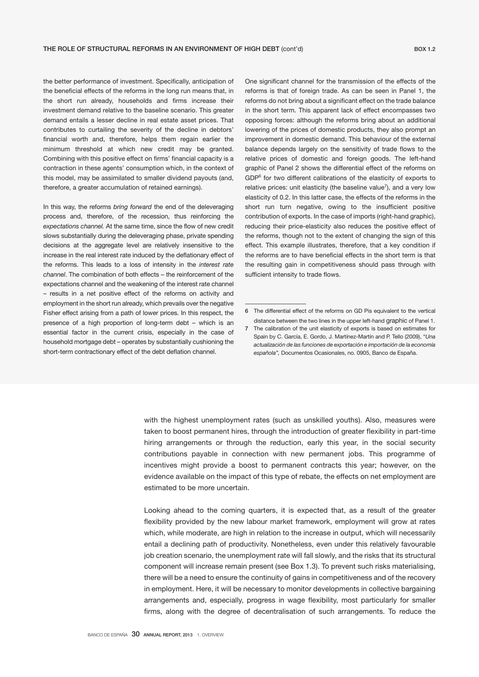the better performance of investment. Specifically, anticipation of the beneficial effects of the reforms in the long run means that, in the short run already, households and firms increase their investment demand relative to the baseline scenario. This greater demand entails a lesser decline in real estate asset prices. That contributes to curtailing the severity of the decline in debtors' financial worth and, therefore, helps them regain earlier the minimum threshold at which new credit may be granted. Combining with this positive effect on firms' financial capacity is a contraction in these agents' consumption which, in the context of this model, may be assimilated to smaller dividend payouts (and, therefore, a greater accumulation of retained earnings).

In this way, the reforms *bring forward* the end of the deleveraging process and, therefore, of the recession, thus reinforcing the *expectations channel.* At the same time, since the flow of new credit slows substantially during the deleveraging phase, private spending decisions at the aggregate level are relatively insensitive to the increase in the real interest rate induced by the deflationary effect of the reforms. This leads to a loss of intensity in the *interest rate channel*. The combination of both effects – the reinforcement of the expectations channel and the weakening of the interest rate channel – results in a net positive effect of the reforms on activity and employment in the short run already, which prevails over the negative Fisher effect arising from a path of lower prices. In this respect, the presence of a high proportion of long-term debt – which is an essential factor in the current crisis, especially in the case of household mortgage debt – operates by substantially cushioning the short-term contractionary effect of the debt deflation channel.

One significant channel for the transmission of the effects of the reforms is that of foreign trade. As can be seen in Panel 1, the reforms do not bring about a significant effect on the trade balance in the short term. This apparent lack of effect encompasses two opposing forces: although the reforms bring about an additional lowering of the prices of domestic products, they also prompt an improvement in domestic demand. This behaviour of the external balance depends largely on the sensitivity of trade flows to the relative prices of domestic and foreign goods. The left-hand graphic of Panel 2 shows the differential effect of the reforms on GDP<sup>6</sup> for two different calibrations of the elasticity of exports to relative prices: unit elasticity (the baseline value<sup>7</sup>), and a very low elasticity of 0.2. In this latter case, the effects of the reforms in the short run turn negative, owing to the insufficient positive contribution of exports. In the case of imports (right-hand graphic), reducing their price-elasticity also reduces the positive effect of the reforms, though not to the extent of changing the sign of this effect. This example illustrates, therefore, that a key condition if the reforms are to have beneficial effects in the short term is that the resulting gain in competitiveness should pass through with sufficient intensity to trade flows.

with the highest unemployment rates (such as unskilled youths). Also, measures were taken to boost permanent hires, through the introduction of greater flexibility in part-time hiring arrangements or through the reduction, early this year, in the social security contributions payable in connection with new permanent jobs. This programme of incentives might provide a boost to permanent contracts this year; however, on the evidence available on the impact of this type of rebate, the effects on net employment are estimated to be more uncertain.

Looking ahead to the coming quarters, it is expected that, as a result of the greater flexibility provided by the new labour market framework, employment will grow at rates which, while moderate, are high in relation to the increase in output, which will necessarily entail a declining path of productivity. Nonetheless, even under this relatively favourable job creation scenario, the unemployment rate will fall slowly, and the risks that its structural component will increase remain present (see Box 1.3). To prevent such risks materialising, there will be a need to ensure the continuity of gains in competitiveness and of the recovery in employment. Here, it will be necessary to monitor developments in collective bargaining arrangements and, especially, progress in wage flexibility, most particularly for smaller firms, along with the degree of decentralisation of such arrangements. To reduce the

<sup>6</sup> The differential effect of the reforms on GD Pis equivalent to the vertical distance between the two lines in the upper left-hand graphic of Panel 1.

<sup>7</sup> The calibration of the unit elasticity of exports is based on estimates for Spain by C. García, E. Gordo, J. Martínez-Martín and P. Tello (2009), "*Una actualización de las funciones de exportación e importación de la economía española",* Documentos Ocasionales, no. 0905, Banco de España.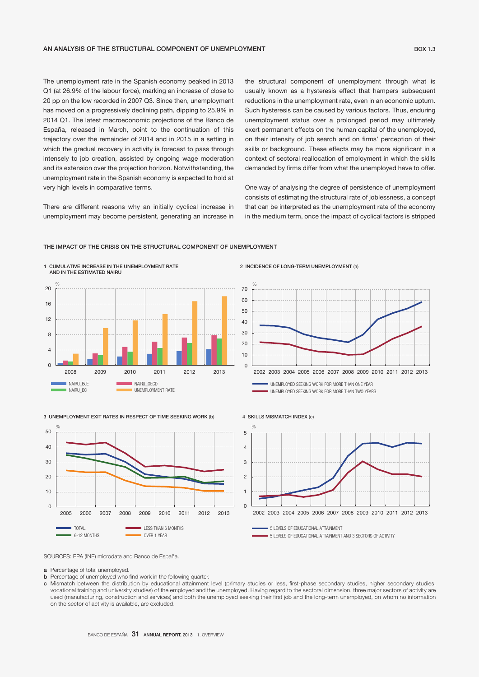The unemployment rate in the Spanish economy peaked in 2013 Q1 (at 26.9% of the labour force), marking an increase of close to 20 pp on the low recorded in 2007 Q3. Since then, unemployment has moved on a progressively declining path, dipping to 25.9% in 2014 Q1. The latest macroeconomic projections of the Banco de España, released in March, point to the continuation of this trajectory over the remainder of 2014 and in 2015 in a setting in which the gradual recovery in activity is forecast to pass through intensely to job creation, assisted by ongoing wage moderation and its extension over the projection horizon. Notwithstanding, the unemployment rate in the Spanish economy is expected to hold at very high levels in comparative terms.

There are different reasons why an initially cyclical increase in unemployment may become persistent, generating an increase in

the structural component of unemployment through what is usually known as a hysteresis effect that hampers subsequent reductions in the unemployment rate, even in an economic upturn. Such hysteresis can be caused by various factors. Thus, enduring unemployment status over a prolonged period may ultimately exert permanent effects on the human capital of the unemployed, on their intensity of job search and on firms' perception of their skills or background. These effects may be more significant in a context of sectoral reallocation of employment in which the skills demanded by firms differ from what the unemployed have to offer.

One way of analysing the degree of persistence of unemployment consists of estimating the structural rate of joblessness, a concept that can be interpreted as the unemployment rate of the economy in the medium term, once the impact of cyclical factors is stripped



### THE IMPACT OF THE CRISIS ON THE STRUCTURAL COMPONENT OF UNEMPLOYMENT



UNEMPLOYED SEEKING WORK FOR MORE THAN TWO YEARS





# SOURCES: EPA (INE) microdata and Banco de España.

a Percentage of total unemployed.

- b Percentage of unemployed who find work in the following quarter.
- c Mismatch between the distribution by educational attainment level (primary studies or less, first-phase secondary studies, higher secondary studies, vocational training and university studies) of the employed and the unemployed. Having regard to the sectoral dimension, three major sectors of activity are used (manufacturing, construction and services) and both the unemployed seeking their first job and the long-term unemployed, on whom no information on the sector of activity is available, are excluded.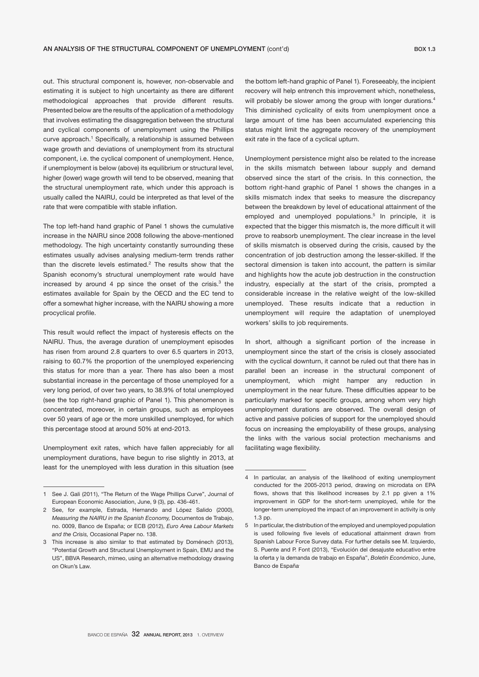out. This structural component is, however, non-observable and estimating it is subject to high uncertainty as there are different methodological approaches that provide different results. Presented below are the results of the application of a methodology that involves estimating the disaggregation between the structural and cyclical components of unemployment using the Phillips curve approach.<sup>1</sup> Specifically, a relationship is assumed between wage growth and deviations of unemployment from its structural component, i.e. the cyclical component of unemployment. Hence, if unemployment is below (above) its equilibrium or structural level, higher (lower) wage growth will tend to be observed, meaning that the structural unemployment rate, which under this approach is usually called the NAIRU, could be interpreted as that level of the rate that were compatible with stable inflation.

The top left-hand hand graphic of Panel 1 shows the cumulative increase in the NAIRU since 2008 following the above-mentioned methodology. The high uncertainty constantly surrounding these estimates usually advises analysing medium-term trends rather than the discrete levels estimated.<sup>2</sup> The results show that the Spanish economy's structural unemployment rate would have increased by around 4 pp since the onset of the crisis. $3$  the estimates available for Spain by the OECD and the EC tend to offer a somewhat higher increase, with the NAIRU showing a more procyclical profile.

This result would reflect the impact of hysteresis effects on the NAIRU. Thus, the average duration of unemployment episodes has risen from around 2.8 quarters to over 6.5 quarters in 2013, raising to 60.7% the proportion of the unemployed experiencing this status for more than a year. There has also been a most substantial increase in the percentage of those unemployed for a very long period, of over two years, to 38.9% of total unemployed (see the top right-hand graphic of Panel 1). This phenomenon is concentrated, moreover, in certain groups, such as employees over 50 years of age or the more unskilled unemployed, for which this percentage stood at around 50% at end-2013.

Unemployment exit rates, which have fallen appreciably for all unemployment durations, have begun to rise slightly in 2013, at least for the unemployed with less duration in this situation (see

the bottom left-hand graphic of Panel 1). Foreseeably, the incipient recovery will help entrench this improvement which, nonetheless, will probably be slower among the group with longer durations.<sup>4</sup> This diminished cyclicality of exits from unemployment once a large amount of time has been accumulated experiencing this status might limit the aggregate recovery of the unemployment exit rate in the face of a cyclical upturn.

Unemployment persistence might also be related to the increase in the skills mismatch between labour supply and demand observed since the start of the crisis. In this connection, the bottom right-hand graphic of Panel 1 shows the changes in a skills mismatch index that seeks to measure the discrepancy between the breakdown by level of educational attainment of the employed and unemployed populations.<sup>5</sup> In principle, it is expected that the bigger this mismatch is, the more difficult it will prove to reabsorb unemployment. The clear increase in the level of skills mismatch is observed during the crisis, caused by the concentration of job destruction among the lesser-skilled. If the sectoral dimension is taken into account, the pattern is similar and highlights how the acute job destruction in the construction industry, especially at the start of the crisis, prompted a considerable increase in the relative weight of the low-skilled unemployed. These results indicate that a reduction in unemployment will require the adaptation of unemployed workers' skills to job requirements.

In short, although a significant portion of the increase in unemployment since the start of the crisis is closely associated with the cyclical downturn, it cannot be ruled out that there has in parallel been an increase in the structural component of unemployment, which might hamper any reduction in unemployment in the near future. These difficulties appear to be particularly marked for specific groups, among whom very high unemployment durations are observed. The overall design of active and passive policies of support for the unemployed should focus on increasing the employability of these groups, analysing the links with the various social protection mechanisms and facilitating wage flexibility.

<sup>1</sup> See J. Gali (2011), "The Return of the Wage Phillips Curve", Journal of European Economic Association, June, 9 (3), pp. 436-461.

<sup>2</sup> See, for example, Estrada, Hernando and López Salido (2000), *Measuring the NAIRU in the Spanish Economy,* Documentos de Trabajo, no. 0009, Banco de España; or ECB (2012), *Euro Area Labour Markets and the Crisis,* Occasional Paper no. 138.

<sup>3</sup> This increase is also similar to that estimated by Doménech (2013), "Potential Growth and Structural Unemployment in Spain, EMU and the US", BBVA Research, mimeo, using an alternative methodology drawing on Okun's Law.

<sup>4</sup> In particular, an analysis of the likelihood of exiting unemployment conducted for the 2005-2013 period, drawing on microdata on EPA flows, shows that this likelihood increases by 2.1 pp given a 1% improvement in GDP for the short-term unemployed, while for the longer-term unemployed the impact of an improvement in activity is only 1.3 pp.

<sup>5</sup> In particular, the distribution of the employed and unemployed population is used following five levels of educational attainment drawn from Spanish Labour Force Survey data. For further details see M. Izquierdo, S. Puente and P. Font (2013), "Evolución del desajuste educativo entre la oferta y la demanda de trabajo en España", *Boletín Económico*, June, Banco de España.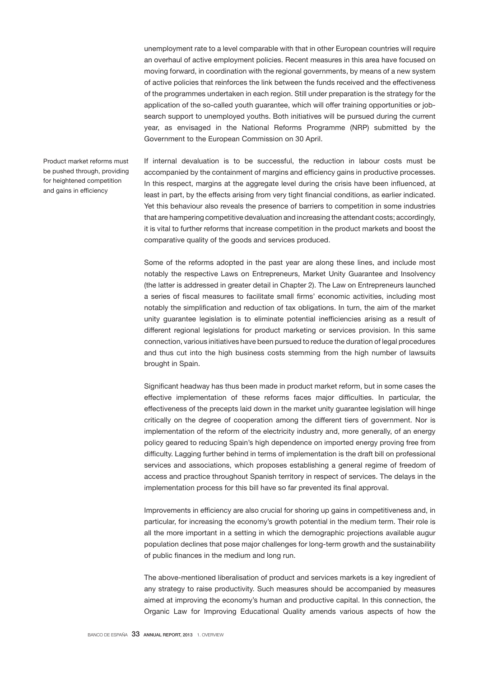unemployment rate to a level comparable with that in other European countries will require an overhaul of active employment policies. Recent measures in this area have focused on moving forward, in coordination with the regional governments, by means of a new system of active policies that reinforces the link between the funds received and the effectiveness of the programmes undertaken in each region. Still under preparation is the strategy for the application of the so-called youth guarantee, which will offer training opportunities or jobsearch support to unemployed youths. Both initiatives will be pursued during the current year, as envisaged in the National Reforms Programme (NRP) submitted by the Government to the European Commission on 30 April.

Product market reforms must be pushed through, providing for heightened competition and gains in efficiency

If internal devaluation is to be successful, the reduction in labour costs must be accompanied by the containment of margins and efficiency gains in productive processes. In this respect, margins at the aggregate level during the crisis have been influenced, at least in part, by the effects arising from very tight financial conditions, as earlier indicated. Yet this behaviour also reveals the presence of barriers to competition in some industries that are hampering competitive devaluation and increasing the attendant costs; accordingly, it is vital to further reforms that increase competition in the product markets and boost the comparative quality of the goods and services produced.

Some of the reforms adopted in the past year are along these lines, and include most notably the respective Laws on Entrepreneurs, Market Unity Guarantee and Insolvency (the latter is addressed in greater detail in Chapter 2). The Law on Entrepreneurs launched a series of fiscal measures to facilitate small firms' economic activities, including most notably the simplification and reduction of tax obligations. In turn, the aim of the market unity guarantee legislation is to eliminate potential inefficiencies arising as a result of different regional legislations for product marketing or services provision. In this same connection, various initiatives have been pursued to reduce the duration of legal procedures and thus cut into the high business costs stemming from the high number of lawsuits brought in Spain.

Significant headway has thus been made in product market reform, but in some cases the effective implementation of these reforms faces major difficulties. In particular, the effectiveness of the precepts laid down in the market unity guarantee legislation will hinge critically on the degree of cooperation among the different tiers of government. Nor is implementation of the reform of the electricity industry and, more generally, of an energy policy geared to reducing Spain's high dependence on imported energy proving free from difficulty. Lagging further behind in terms of implementation is the draft bill on professional services and associations, which proposes establishing a general regime of freedom of access and practice throughout Spanish territory in respect of services. The delays in the implementation process for this bill have so far prevented its final approval.

Improvements in efficiency are also crucial for shoring up gains in competitiveness and, in particular, for increasing the economy's growth potential in the medium term. Their role is all the more important in a setting in which the demographic projections available augur population declines that pose major challenges for long-term growth and the sustainability of public finances in the medium and long run.

The above-mentioned liberalisation of product and services markets is a key ingredient of any strategy to raise productivity. Such measures should be accompanied by measures aimed at improving the economy's human and productive capital. In this connection, the Organic Law for Improving Educational Quality amends various aspects of how the